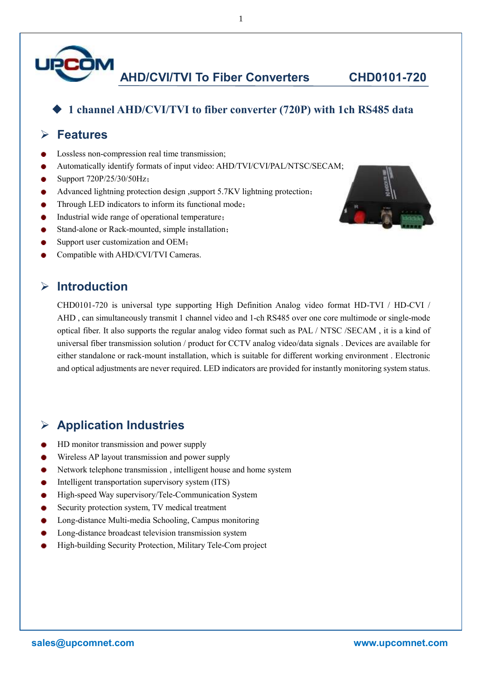

**AHD/CVI/TVI To Fiber Converters CHD0101-720**

#### ◆ **1 channel AHD/CVI/TVI to fiber converter (720P) with 1ch RS485 data**

#### ➢ **Features**

- Lossless non-compression real time transmission;
- Automatically identify formats of input video: AHD/TVI/CVI/PAL/NTSC/SECAM;
- Support 720P/25/30/50Hz;
- Advanced lightning protection design ,support 5.7KV lightning protection;
- Through LED indicators to inform its functional mode;
- Industrial wide range of operational temperature;
- Stand-alone or Rack-mounted, simple installation;
- Support user customization and OEM;
- Compatible with AHD/CVI/TVI Cameras.

#### ➢ **Introduction**

CHD0101-720 is universal type supporting High Definition Analog video format HD-TVI / HD-CVI / AHD , can simultaneously transmit 1 channel video and 1-ch RS485 over one core multimode or single-mode optical fiber. It also supports the regular analog video format such as PAL / NTSC /SECAM , it is a kind of universal fiber transmission solution / product for CCTV analog video/data signals . Devices are available for either standalone or rack-mount installation, which is suitable for different working environment . Electronic and optical adjustments are never required. LED indicators are provided for instantly monitoring system status.

### ➢ **Application Industries**

- HD monitor transmission and power supply
- Wireless AP layout transmission and power supply
- Network telephone transmission , intelligent house and home system
- Intelligent transportation supervisory system (ITS)
- High-speed Way supervisory/Tele-Communication System
- Security protection system, TV medical treatment
- Long-distance Multi-media Schooling, Campus monitoring
- Long-distance broadcast television transmission system
- High-building Security Protection, Military Tele-Com project



1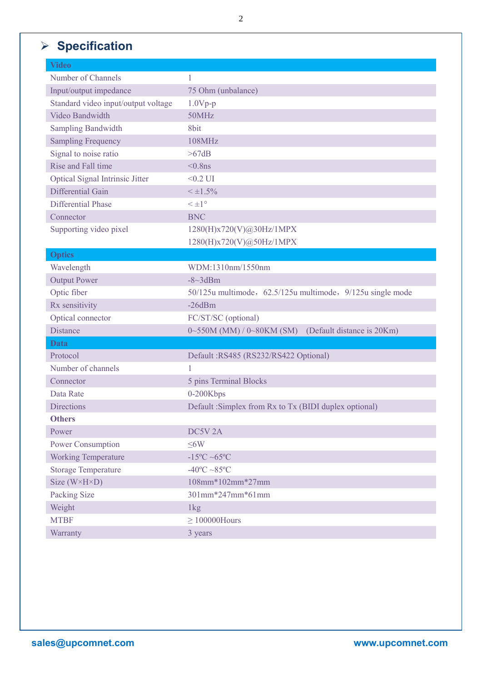# ➢ **Specification**

| <b>Video</b>                        |                                                                     |
|-------------------------------------|---------------------------------------------------------------------|
| Number of Channels                  | 1                                                                   |
| Input/output impedance              | 75 Ohm (unbalance)                                                  |
| Standard video input/output voltage | $1.0Vp-p$                                                           |
| Video Bandwidth                     | 50MHz                                                               |
| <b>Sampling Bandwidth</b>           | 8bit                                                                |
| <b>Sampling Frequency</b>           | 108MHz                                                              |
| Signal to noise ratio               | >67dB                                                               |
| Rise and Fall time                  | $< 0.8$ ns                                                          |
| Optical Signal Intrinsic Jitter     | $<0.2$ UI                                                           |
| Differential Gain                   | $<$ $\pm$ 1.5%                                                      |
| <b>Differential Phase</b>           | $\leq \pm 1^{\circ}$                                                |
| Connector                           | <b>BNC</b>                                                          |
| Supporting video pixel              | 1280(H)x720(V)@30Hz/1MPX                                            |
|                                     | 1280(H)x720(V)@50Hz/1MPX                                            |
| <b>Optics</b>                       |                                                                     |
| Wavelength                          | WDM:1310nm/1550nm                                                   |
| <b>Output Power</b>                 | $-8 \sim 3$ dBm                                                     |
| Optic fiber                         | 50/125u multimode, 62.5/125u multimode, 9/125u single mode          |
| Rx sensitivity                      | $-26dBm$                                                            |
| Optical connector                   | FC/ST/SC (optional)                                                 |
| Distance                            | (Default distance is 20Km)<br>$0\sim 550M$ (MM) / $0\sim 80KM$ (SM) |
| Data                                |                                                                     |
| Protocol                            | Default: RS485 (RS232/RS422 Optional)                               |
| Number of channels                  |                                                                     |
| Connector                           | 5 pins Terminal Blocks                                              |
| Data Rate                           | 0-200Kbps                                                           |
| <b>Directions</b>                   | Default: Simplex from Rx to Tx (BIDI duplex optional)               |
| <b>Others</b>                       |                                                                     |
| Power                               | DC5V <sub>2A</sub>                                                  |
| Power Consumption                   | $\leq$ 6W                                                           |
| <b>Working Temperature</b>          | $-15^{\circ}C \sim 65^{\circ}C$                                     |
| <b>Storage Temperature</b>          | $-40^{\circ}$ C $-85^{\circ}$ C                                     |
| Size $(W \times H \times D)$        | 108mm*102mm*27mm                                                    |
| Packing Size                        | 301mm*247mm*61mm                                                    |
| Weight                              | 1kg                                                                 |
| <b>MTBF</b>                         | $\geq 100000$ Hours                                                 |
| Warranty                            | 3 years                                                             |